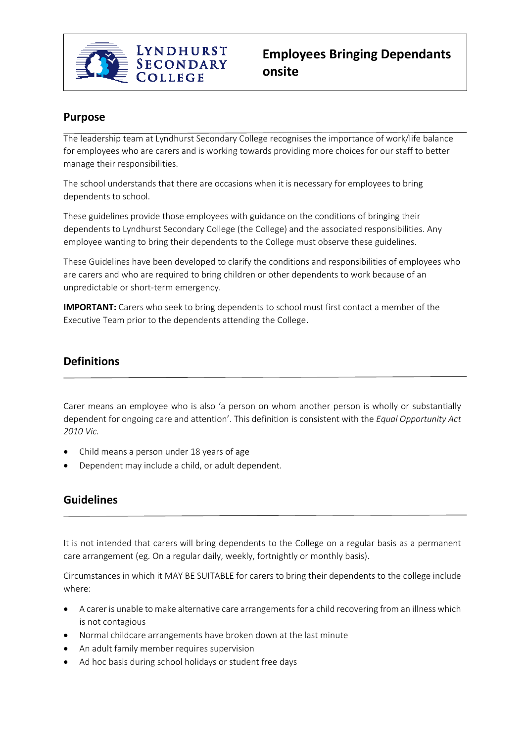

# **Purpose**

The leadership team at Lyndhurst Secondary College recognises the importance of work/life balance for employees who are carers and is working towards providing more choices for our staff to better manage their responsibilities.

The school understands that there are occasions when it is necessary for employees to bring dependents to school.

These guidelines provide those employees with guidance on the conditions of bringing their dependents to Lyndhurst Secondary College (the College) and the associated responsibilities. Any employee wanting to bring their dependents to the College must observe these guidelines.

These Guidelines have been developed to clarify the conditions and responsibilities of employees who are carers and who are required to bring children or other dependents to work because of an unpredictable or short-term emergency.

**IMPORTANT:** Carers who seek to bring dependents to school must first contact a member of the Executive Team prior to the dependents attending the College.

# **Definitions**

Carer means an employee who is also 'a person on whom another person is wholly or substantially dependent for ongoing care and attention'. This definition is consistent with the *Equal Opportunity Act 2010 Vic.*

- Child means a person under 18 years of age
- Dependent may include a child, or adult dependent.

## **Guidelines**

It is not intended that carers will bring dependents to the College on a regular basis as a permanent care arrangement (eg. On a regular daily, weekly, fortnightly or monthly basis).

Circumstances in which it MAY BE SUITABLE for carers to bring their dependents to the college include where:

- A carer is unable to make alternative care arrangements for a child recovering from an illness which is not contagious
- Normal childcare arrangements have broken down at the last minute
- An adult family member requires supervision
- Ad hoc basis during school holidays or student free days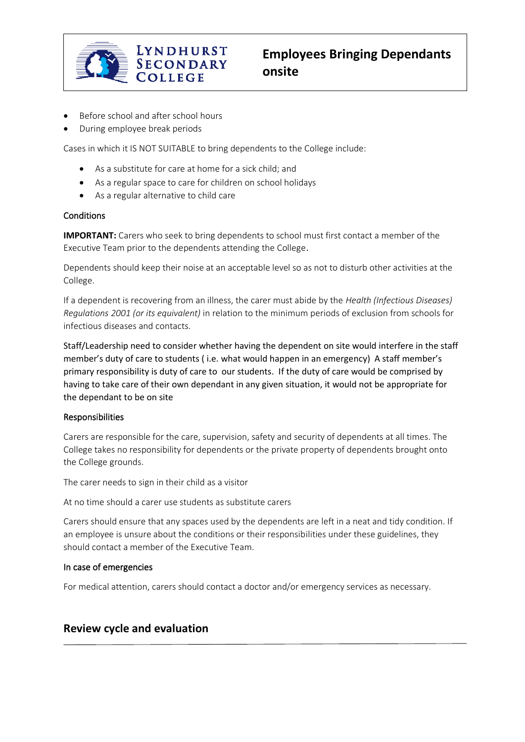

- Before school and after school hours
- During employee break periods

Cases in which it IS NOT SUITABLE to bring dependents to the College include:

- As a substitute for care at home for a sick child; and
- As a regular space to care for children on school holidays
- As a regular alternative to child care

#### **Conditions**

**IMPORTANT:** Carers who seek to bring dependents to school must first contact a member of the Executive Team prior to the dependents attending the College.

Dependents should keep their noise at an acceptable level so as not to disturb other activities at the College.

If a dependent is recovering from an illness, the carer must abide by the *Health (Infectious Diseases) Regulations 2001 (or its equivalent)* in relation to the minimum periods of exclusion from schools for infectious diseases and contacts.

Staff/Leadership need to consider whether having the dependent on site would interfere in the staff member's duty of care to students ( i.e. what would happen in an emergency) A staff member's primary responsibility is duty of care to our students. If the duty of care would be comprised by having to take care of their own dependant in any given situation, it would not be appropriate for the dependant to be on site

### Responsibilities

Carers are responsible for the care, supervision, safety and security of dependents at all times. The College takes no responsibility for dependents or the private property of dependents brought onto the College grounds.

The carer needs to sign in their child as a visitor

At no time should a carer use students as substitute carers

Carers should ensure that any spaces used by the dependents are left in a neat and tidy condition. If an employee is unsure about the conditions or their responsibilities under these guidelines, they should contact a member of the Executive Team.

### In case of emergencies

For medical attention, carers should contact a doctor and/or emergency services as necessary.

### **Review cycle and evaluation**